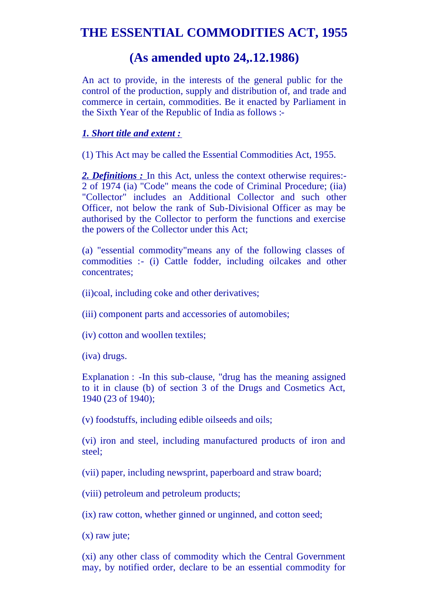# **THE ESSENTIAL COMMODITIES ACT, 1955**

## **(As amended upto 24,.12.1986)**

An act to provide, in the interests of the general public for the control of the production, supply and distribution of, and trade and commerce in certain, commodities. Be it enacted by Parliament in the Sixth Year of the Republic of India as follows :-

#### *1. Short title and extent :*

(1) This Act may be called the Essential Commodities Act, 1955.

*2. Definitions :* In this Act, unless the context otherwise requires:- 2 of 1974 (ia) "Code" means the code of Criminal Procedure; (iia) "Collector" includes an Additional Collector and such other Officer, not below the rank of Sub-Divisional Officer as may be authorised by the Collector to perform the functions and exercise the powers of the Collector under this Act;

(a) "essential commodity"means any of the following classes of commodities :- (i) Cattle fodder, including oilcakes and other concentrates;

(ii)coal, including coke and other derivatives;

(iii) component parts and accessories of automobiles;

(iv) cotton and woollen textiles;

(iva) drugs.

Explanation : -In this sub-clause, "drug has the meaning assigned to it in clause (b) of section 3 of the Drugs and Cosmetics Act, 1940 (23 of 1940);

(v) foodstuffs, including edible oilseeds and oils;

(vi) iron and steel, including manufactured products of iron and steel;

(vii) paper, including newsprint, paperboard and straw board;

(viii) petroleum and petroleum products;

(ix) raw cotton, whether ginned or unginned, and cotton seed;

(x) raw jute;

(xi) any other class of commodity which the Central Government may, by notified order, declare to be an essential commodity for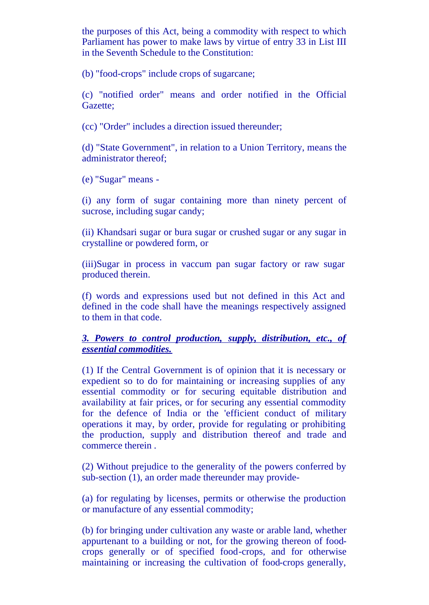the purposes of this Act, being a commodity with respect to which Parliament has power to make laws by virtue of entry 33 in List III in the Seventh Schedule to the Constitution:

(b) "food-crops" include crops of sugarcane;

(c) "notified order" means and order notified in the Official Gazette;

(cc) "Order" includes a direction issued thereunder;

(d) "State Government", in relation to a Union Territory, means the administrator thereof;

(e) "Sugar" means -

(i) any form of sugar containing more than ninety percent of sucrose, including sugar candy;

(ii) Khandsari sugar or bura sugar or crushed sugar or any sugar in crystalline or powdered form, or

(iii)Sugar in process in vaccum pan sugar factory or raw sugar produced therein.

(f) words and expressions used but not defined in this Act and defined in the code shall have the meanings respectively assigned to them in that code.

#### *3. Powers to control production, supply, distribution, etc., of essential commodities.*

(1) If the Central Government is of opinion that it is necessary or expedient so to do for maintaining or increasing supplies of any essential commodity or for securing equitable distribution and availability at fair prices, or for securing any essential commodity for the defence of India or the 'efficient conduct of military operations it may, by order, provide for regulating or prohibiting the production, supply and distribution thereof and trade and commerce therein .

(2) Without prejudice to the generality of the powers conferred by sub-section (1), an order made thereunder may provide-

(a) for regulating by licenses, permits or otherwise the production or manufacture of any essential commodity;

(b) for bringing under cultivation any waste or arable land, whether appurtenant to a building or not, for the growing thereon of foodcrops generally or of specified food-crops, and for otherwise maintaining or increasing the cultivation of food-crops generally,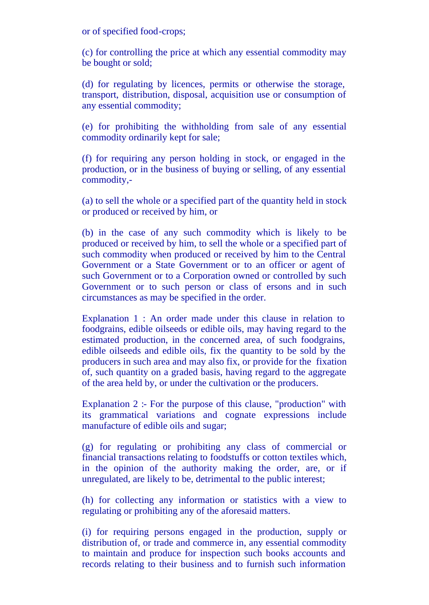or of specified food-crops;

(c) for controlling the price at which any essential commodity may be bought or sold;

(d) for regulating by licences, permits or otherwise the storage, transport, distribution, disposal, acquisition use or consumption of any essential commodity;

(e) for prohibiting the withholding from sale of any essential commodity ordinarily kept for sale;

(f) for requiring any person holding in stock, or engaged in the production, or in the business of buying or selling, of any essential commodity,-

(a) to sell the whole or a specified part of the quantity held in stock or produced or received by him, or

(b) in the case of any such commodity which is likely to be produced or received by him, to sell the whole or a specified part of such commodity when produced or received by him to the Central Government or a State Government or to an officer or agent of such Government or to a Corporation owned or controlled by such Government or to such person or class of ersons and in such circumstances as may be specified in the order.

Explanation 1 : An order made under this clause in relation to foodgrains, edible oilseeds or edible oils, may having regard to the estimated production, in the concerned area, of such foodgrains, edible oilseeds and edible oils, fix the quantity to be sold by the producers in such area and may also fix, or provide for the fixation of, such quantity on a graded basis, having regard to the aggregate of the area held by, or under the cultivation or the producers.

Explanation 2 :- For the purpose of this clause, "production" with its grammatical variations and cognate expressions include manufacture of edible oils and sugar;

(g) for regulating or prohibiting any class of commercial or financial transactions relating to foodstuffs or cotton textiles which, in the opinion of the authority making the order, are, or if unregulated, are likely to be, detrimental to the public interest;

(h) for collecting any information or statistics with a view to regulating or prohibiting any of the aforesaid matters.

(i) for requiring persons engaged in the production, supply or distribution of, or trade and commerce in, any essential commodity to maintain and produce for inspection such books accounts and records relating to their business and to furnish such information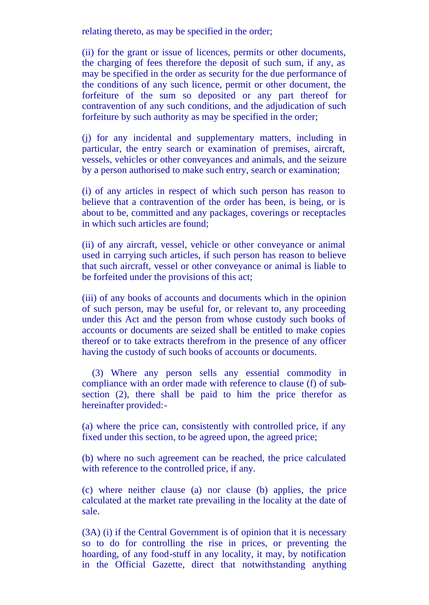relating thereto, as may be specified in the order;

(ii) for the grant or issue of licences, permits or other documents, the charging of fees therefore the deposit of such sum, if any, as may be specified in the order as security for the due performance of the conditions of any such licence, permit or other document, the forfeiture of the sum so deposited or any part thereof for contravention of any such conditions, and the adjudication of such forfeiture by such authority as may be specified in the order;

(j) for any incidental and supplementary matters, including in particular, the entry search or examination of premises, aircraft, vessels, vehicles or other conveyances and animals, and the seizure by a person authorised to make such entry, search or examination;

(i) of any articles in respect of which such person has reason to believe that a contravention of the order has been, is being, or is about to be, committed and any packages, coverings or receptacles in which such articles are found;

(ii) of any aircraft, vessel, vehicle or other conveyance or animal used in carrying such articles, if such person has reason to believe that such aircraft, vessel or other conveyance or animal is liable to be forfeited under the provisions of this act;

(iii) of any books of accounts and documents which in the opinion of such person, may be useful for, or relevant to, any proceeding under this Act and the person from whose custody such books of accounts or documents are seized shall be entitled to make copies thereof or to take extracts therefrom in the presence of any officer having the custody of such books of accounts or documents.

 (3) Where any person sells any essential commodity in compliance with an order made with reference to clause (f) of subsection (2), there shall be paid to him the price therefor as hereinafter provided:-

(a) where the price can, consistently with controlled price, if any fixed under this section, to be agreed upon, the agreed price;

(b) where no such agreement can be reached, the price calculated with reference to the controlled price, if any.

(c) where neither clause (a) nor clause (b) applies, the price calculated at the market rate prevailing in the locality at the date of sale.

(3A) (i) if the Central Government is of opinion that it is necessary so to do for controlling the rise in prices, or preventing the hoarding, of any food-stuff in any locality, it may, by notification in the Official Gazette, direct that notwithstanding anything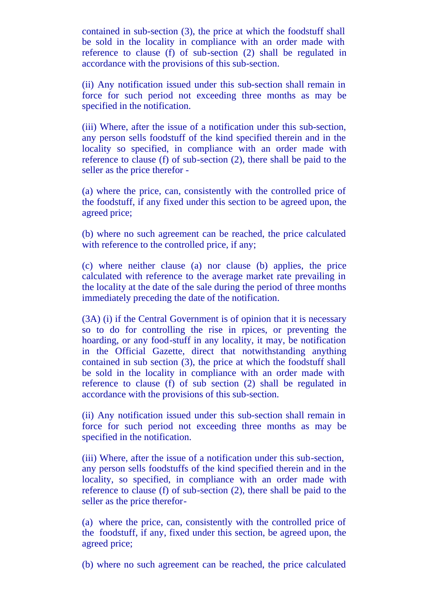contained in sub-section (3), the price at which the foodstuff shall be sold in the locality in compliance with an order made with reference to clause (f) of sub-section (2) shall be regulated in accordance with the provisions of this sub-section.

(ii) Any notification issued under this sub-section shall remain in force for such period not exceeding three months as may be specified in the notification.

(iii) Where, after the issue of a notification under this sub-section, any person sells foodstuff of the kind specified therein and in the locality so specified, in compliance with an order made with reference to clause (f) of sub-section (2), there shall be paid to the seller as the price therefor -

(a) where the price, can, consistently with the controlled price of the foodstuff, if any fixed under this section to be agreed upon, the agreed price;

(b) where no such agreement can be reached, the price calculated with reference to the controlled price, if any;

(c) where neither clause (a) nor clause (b) applies, the price calculated with reference to the average market rate prevailing in the locality at the date of the sale during the period of three months immediately preceding the date of the notification.

(3A) (i) if the Central Government is of opinion that it is necessary so to do for controlling the rise in rpices, or preventing the hoarding, or any food-stuff in any locality, it may, be notification in the Official Gazette, direct that notwithstanding anything contained in sub section (3), the price at which the foodstuff shall be sold in the locality in compliance with an order made with reference to clause (f) of sub section (2) shall be regulated in accordance with the provisions of this sub-section.

(ii) Any notification issued under this sub-section shall remain in force for such period not exceeding three months as may be specified in the notification.

(iii) Where, after the issue of a notification under this sub-section, any person sells foodstuffs of the kind specified therein and in the locality, so specified, in compliance with an order made with reference to clause (f) of sub-section (2), there shall be paid to the seller as the price therefor-

(a) where the price, can, consistently with the controlled price of the foodstuff, if any, fixed under this section, be agreed upon, the agreed price;

(b) where no such agreement can be reached, the price calculated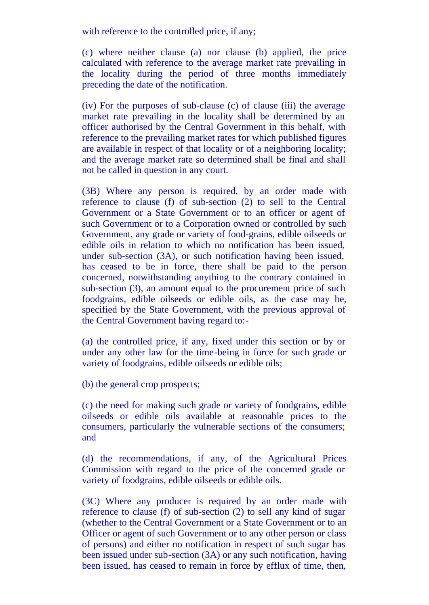with reference to the controlled price, if any;

(c) where neither clause (a) nor clause (b) applied, the price calculated with reference to the average market rate prevailing in the locality during the period of three months immediately preceding the date of the notification.

(iv) For the purposes of sub-clause (c) of clause (iii) the average market rate prevailing in the locality shall be determined by an officer authorised by the Central Government in this behalf, with reference to the prevailing market rates for which published figures are available in respect of that locality or of a neighboring locality; and the average market rate so determined shall be final and shall not be called in question in any court.

(3B) Where any person is required, by an order made with reference to clause (f) of sub-section (2) to sell to the Central Government or a State Government or to an officer or agent of such Government or to a Corporation owned or controlled by such Government, any grade or variety of food-grains, edible oilseeds or edible oils in relation to which no notification has been issued, under sub-section (3A), or such notification having been issued, has ceased to be in force, there shall be paid to the person concerned, notwithstanding anything to the contrary contained in sub-section (3), an amount equal to the procurement price of such foodgrains, edible oilseeds or edible oils, as the case may be, specified by the State Government, with the previous approval of the Central Government having regard to:-

(a) the controlled price, if any, fixed under this section or by or under any other law for the time-being in force for such grade or variety of foodgrains, edible oilseeds or edible oils;

(b) the general crop prospects;

(c) the need for making such grade or variety of foodgrains, edible oilseeds or edible oils available at reasonable prices to the consumers, particularly the vulnerable sections of the consumers; and

(d) the recommendations, if any, of the Agricultural Prices Commission with regard to the price of the concerned grade or variety of foodgrains, edible oilseeds or edible oils.

(3C) Where any producer is required by an order made with reference to clause (f) of sub-section (2) to sell any kind of sugar (whether to the Central Government or a State Government or to an Officer or agent of such Government or to any other person or class of persons) and either no notification in respect of such sugar has been issued under sub-section (3A) or any such notification, having been issued, has ceased to remain in force by efflux of time, then,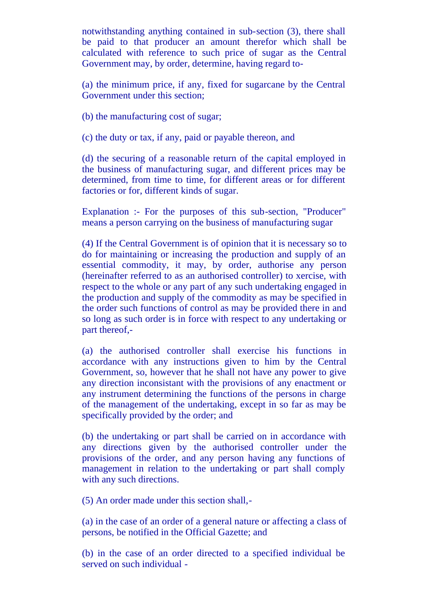notwithstanding anything contained in sub-section (3), there shall be paid to that producer an amount therefor which shall be calculated with reference to such price of sugar as the Central Government may, by order, determine, having regard to-

(a) the minimum price, if any, fixed for sugarcane by the Central Government under this section;

(b) the manufacturing cost of sugar;

(c) the duty or tax, if any, paid or payable thereon, and

(d) the securing of a reasonable return of the capital employed in the business of manufacturing sugar, and different prices may be determined, from time to time, for different areas or for different factories or for, different kinds of sugar.

Explanation :- For the purposes of this sub-section, "Producer" means a person carrying on the business of manufacturing sugar

(4) If the Central Government is of opinion that it is necessary so to do for maintaining or increasing the production and supply of an essential commodity, it may, by order, authorise any person (hereinafter referred to as an authorised controller) to xercise, with respect to the whole or any part of any such undertaking engaged in the production and supply of the commodity as may be specified in the order such functions of control as may be provided there in and so long as such order is in force with respect to any undertaking or part thereof,-

(a) the authorised controller shall exercise his functions in accordance with any instructions given to him by the Central Government, so, however that he shall not have any power to give any direction inconsistant with the provisions of any enactment or any instrument determining the functions of the persons in charge of the management of the undertaking, except in so far as may be specifically provided by the order; and

(b) the undertaking or part shall be carried on in accordance with any directions given by the authorised controller under the provisions of the order, and any person having any functions of management in relation to the undertaking or part shall comply with any such directions.

(5) An order made under this section shall,-

(a) in the case of an order of a general nature or affecting a class of persons, be notified in the Official Gazette; and

(b) in the case of an order directed to a specified individual be served on such individual -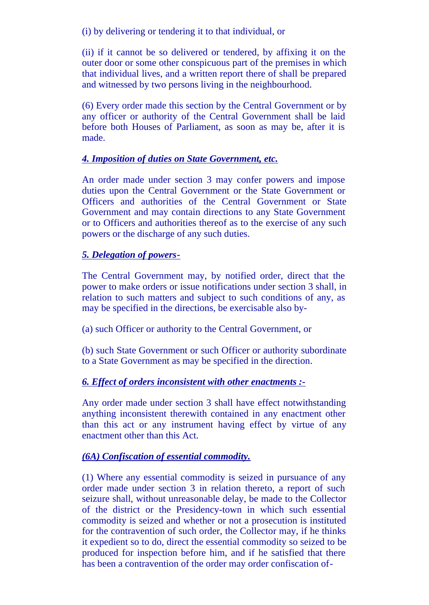(i) by delivering or tendering it to that individual, or

(ii) if it cannot be so delivered or tendered, by affixing it on the outer door or some other conspicuous part of the premises in which that individual lives, and a written report there of shall be prepared and witnessed by two persons living in the neighbourhood.

(6) Every order made this section by the Central Government or by any officer or authority of the Central Government shall be laid before both Houses of Parliament, as soon as may be, after it is made.

### *4. Imposition of duties on State Government, etc.*

An order made under section 3 may confer powers and impose duties upon the Central Government or the State Government or Officers and authorities of the Central Government or State Government and may contain directions to any State Government or to Officers and authorities thereof as to the exercise of any such powers or the discharge of any such duties.

### *5. Delegation of powers-*

The Central Government may, by notified order, direct that the power to make orders or issue notifications under section 3 shall, in relation to such matters and subject to such conditions of any, as may be specified in the directions, be exercisable also by-

(a) such Officer or authority to the Central Government, or

(b) such State Government or such Officer or authority subordinate to a State Government as may be specified in the direction.

### *6. Effect of orders inconsistent with other enactments :-*

Any order made under section 3 shall have effect notwithstanding anything inconsistent therewith contained in any enactment other than this act or any instrument having effect by virtue of any enactment other than this Act.

### *(6A) Confiscation of essential commodity.*

(1) Where any essential commodity is seized in pursuance of any order made under section 3 in relation thereto, a report of such seizure shall, without unreasonable delay, be made to the Collector of the district or the Presidency-town in which such essential commodity is seized and whether or not a prosecution is instituted for the contravention of such order, the Collector may, if he thinks it expedient so to do, direct the essential commodity so seized to be produced for inspection before him, and if he satisfied that there has been a contravention of the order may order confiscation of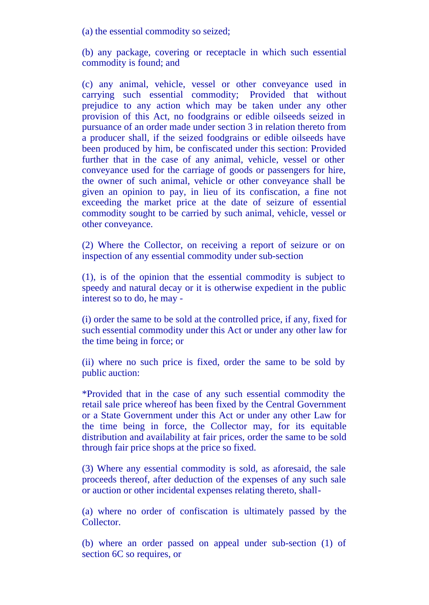(a) the essential commodity so seized;

(b) any package, covering or receptacle in which such essential commodity is found; and

(c) any animal, vehicle, vessel or other conveyance used in carrying such essential commodity; Provided that without prejudice to any action which may be taken under any other provision of this Act, no foodgrains or edible oilseeds seized in pursuance of an order made under section 3 in relation thereto from a producer shall, if the seized foodgrains or edible oilseeds have been produced by him, be confiscated under this section: Provided further that in the case of any animal, vehicle, vessel or other conveyance used for the carriage of goods or passengers for hire, the owner of such animal, vehicle or other conveyance shall be given an opinion to pay, in lieu of its confiscation, a fine not exceeding the market price at the date of seizure of essential commodity sought to be carried by such animal, vehicle, vessel or other conveyance.

(2) Where the Collector, on receiving a report of seizure or on inspection of any essential commodity under sub-section

(1), is of the opinion that the essential commodity is subject to speedy and natural decay or it is otherwise expedient in the public interest so to do, he may -

(i) order the same to be sold at the controlled price, if any, fixed for such essential commodity under this Act or under any other law for the time being in force; or

(ii) where no such price is fixed, order the same to be sold by public auction:

\*Provided that in the case of any such essential commodity the retail sale price whereof has been fixed by the Central Government or a State Government under this Act or under any other Law for the time being in force, the Collector may, for its equitable distribution and availability at fair prices, order the same to be sold through fair price shops at the price so fixed.

(3) Where any essential commodity is sold, as aforesaid, the sale proceeds thereof, after deduction of the expenses of any such sale or auction or other incidental expenses relating thereto, shall-

(a) where no order of confiscation is ultimately passed by the Collector.

(b) where an order passed on appeal under sub-section (1) of section 6C so requires, or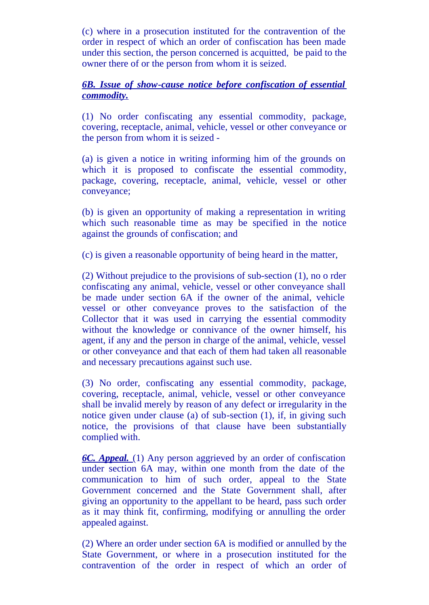(c) where in a prosecution instituted for the contravention of the order in respect of which an order of confiscation has been made under this section, the person concerned is acquitted, be paid to the owner there of or the person from whom it is seized.

### *6B. Issue of show-cause notice before confiscation of essential commodity.*

(1) No order confiscating any essential commodity, package, covering, receptacle, animal, vehicle, vessel or other conveyance or the person from whom it is seized -

(a) is given a notice in writing informing him of the grounds on which it is proposed to confiscate the essential commodity, package, covering, receptacle, animal, vehicle, vessel or other conveyance;

(b) is given an opportunity of making a representation in writing which such reasonable time as may be specified in the notice against the grounds of confiscation; and

(c) is given a reasonable opportunity of being heard in the matter,

(2) Without prejudice to the provisions of sub-section (1), no o rder confiscating any animal, vehicle, vessel or other conveyance shall be made under section 6A if the owner of the animal, vehicle vessel or other conveyance proves to the satisfaction of the Collector that it was used in carrying the essential commodity without the knowledge or connivance of the owner himself, his agent, if any and the person in charge of the animal, vehicle, vessel or other conveyance and that each of them had taken all reasonable and necessary precautions against such use.

(3) No order, confiscating any essential commodity, package, covering, receptacle, animal, vehicle, vessel or other conveyance shall be invalid merely by reason of any defect or irregularity in the notice given under clause (a) of sub-section (1), if, in giving such notice, the provisions of that clause have been substantially complied with.

*6C. Appeal.* (1) Any person aggrieved by an order of confiscation under section 6A may, within one month from the date of the communication to him of such order, appeal to the State Government concerned and the State Government shall, after giving an opportunity to the appellant to be heard, pass such order as it may think fit, confirming, modifying or annulling the order appealed against.

(2) Where an order under section 6A is modified or annulled by the State Government, or where in a prosecution instituted for the contravention of the order in respect of which an order of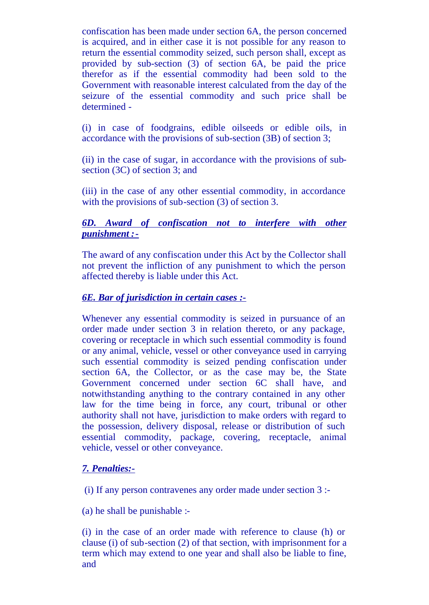confiscation has been made under section 6A, the person concerned is acquired, and in either case it is not possible for any reason to return the essential commodity seized, such person shall, except as provided by sub-section (3) of section 6A, be paid the price therefor as if the essential commodity had been sold to the Government with reasonable interest calculated from the day of the seizure of the essential commodity and such price shall be determined -

(i) in case of foodgrains, edible oilseeds or edible oils, in accordance with the provisions of sub-section (3B) of section 3;

(ii) in the case of sugar, in accordance with the provisions of subsection (3C) of section 3; and

(iii) in the case of any other essential commodity, in accordance with the provisions of sub-section (3) of section 3.

### *6D. Award of confiscation not to interfere with other punishment :-*

The award of any confiscation under this Act by the Collector shall not prevent the infliction of any punishment to which the person affected thereby is liable under this Act.

### *6E. Bar of jurisdiction in certain cases :-*

Whenever any essential commodity is seized in pursuance of an order made under section 3 in relation thereto, or any package, covering or receptacle in which such essential commodity is found or any animal, vehicle, vessel or other conveyance used in carrying such essential commodity is seized pending confiscation under section 6A, the Collector, or as the case may be, the State Government concerned under section 6C shall have, and notwithstanding anything to the contrary contained in any other law for the time being in force, any court, tribunal or other authority shall not have, jurisdiction to make orders with regard to the possession, delivery disposal, release or distribution of such essential commodity, package, covering, receptacle, animal vehicle, vessel or other conveyance.

### *7. Penalties:-*

(i) If any person contravenes any order made under section 3 :-

(a) he shall be punishable :-

(i) in the case of an order made with reference to clause (h) or clause (i) of sub-section (2) of that section, with imprisonment for a term which may extend to one year and shall also be liable to fine, and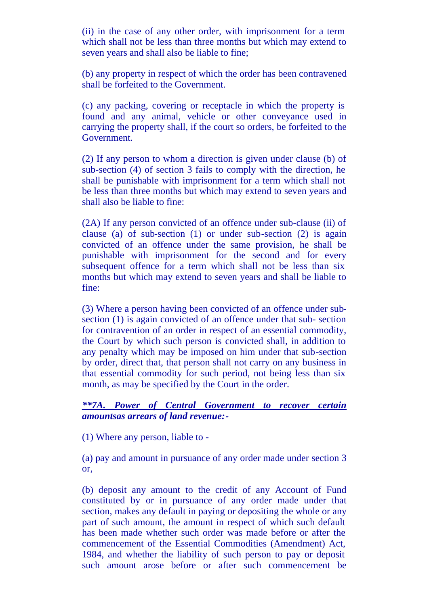(ii) in the case of any other order, with imprisonment for a term which shall not be less than three months but which may extend to seven years and shall also be liable to fine;

(b) any property in respect of which the order has been contravened shall be forfeited to the Government.

(c) any packing, covering or receptacle in which the property is found and any animal, vehicle or other conveyance used in carrying the property shall, if the court so orders, be forfeited to the Government.

(2) If any person to whom a direction is given under clause (b) of sub-section (4) of section 3 fails to comply with the direction, he shall be punishable with imprisonment for a term which shall not be less than three months but which may extend to seven years and shall also be liable to fine:

(2A) If any person convicted of an offence under sub-clause (ii) of clause (a) of sub-section (1) or under sub-section (2) is again convicted of an offence under the same provision, he shall be punishable with imprisonment for the second and for every subsequent offence for a term which shall not be less than six months but which may extend to seven years and shall be liable to fine:

(3) Where a person having been convicted of an offence under subsection (1) is again convicted of an offence under that sub- section for contravention of an order in respect of an essential commodity, the Court by which such person is convicted shall, in addition to any penalty which may be imposed on him under that sub-section by order, direct that, that person shall not carry on any business in that essential commodity for such period, not being less than six month, as may be specified by the Court in the order.

#### *\*\*7A. Power of Central Government to recover certain amountsas arrears of land revenue:-*

(1) Where any person, liable to -

(a) pay and amount in pursuance of any order made under section 3 or,

(b) deposit any amount to the credit of any Account of Fund constituted by or in pursuance of any order made under that section, makes any default in paying or depositing the whole or any part of such amount, the amount in respect of which such default has been made whether such order was made before or after the commencement of the Essential Commodities (Amendment) Act, 1984, and whether the liability of such person to pay or deposit such amount arose before or after such commencement be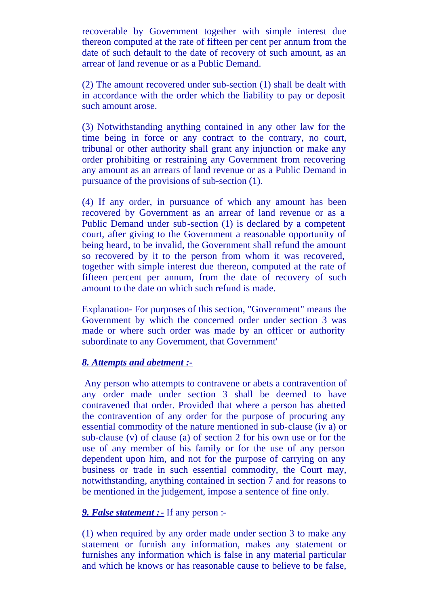recoverable by Government together with simple interest due thereon computed at the rate of fifteen per cent per annum from the date of such default to the date of recovery of such amount, as an arrear of land revenue or as a Public Demand.

(2) The amount recovered under sub-section (1) shall be dealt with in accordance with the order which the liability to pay or deposit such amount arose.

(3) Notwithstanding anything contained in any other law for the time being in force or any contract to the contrary, no court, tribunal or other authority shall grant any injunction or make any order prohibiting or restraining any Government from recovering any amount as an arrears of land revenue or as a Public Demand in pursuance of the provisions of sub-section (1).

(4) If any order, in pursuance of which any amount has been recovered by Government as an arrear of land revenue or as a Public Demand under sub-section (1) is declared by a competent court, after giving to the Government a reasonable opportunity of being heard, to be invalid, the Government shall refund the amount so recovered by it to the person from whom it was recovered, together with simple interest due thereon, computed at the rate of fifteen percent per annum, from the date of recovery of such amount to the date on which such refund is made.

Explanation- For purposes of this section, "Government" means the Government by which the concerned order under section 3 was made or where such order was made by an officer or authority subordinate to any Government, that Government'

#### *8. Attempts and abetment :-*

 Any person who attempts to contravene or abets a contravention of any order made under section 3 shall be deemed to have contravened that order. Provided that where a person has abetted the contravention of any order for the purpose of procuring any essential commodity of the nature mentioned in sub-clause (iv a) or sub-clause (v) of clause (a) of section 2 for his own use or for the use of any member of his family or for the use of any person dependent upon him, and not for the purpose of carrying on any business or trade in such essential commodity, the Court may, notwithstanding, anything contained in section 7 and for reasons to be mentioned in the judgement, impose a sentence of fine only.

### *9. False statement :-* If any person :-

(1) when required by any order made under section 3 to make any statement or furnish any information, makes any statement or furnishes any information which is false in any material particular and which he knows or has reasonable cause to believe to be false,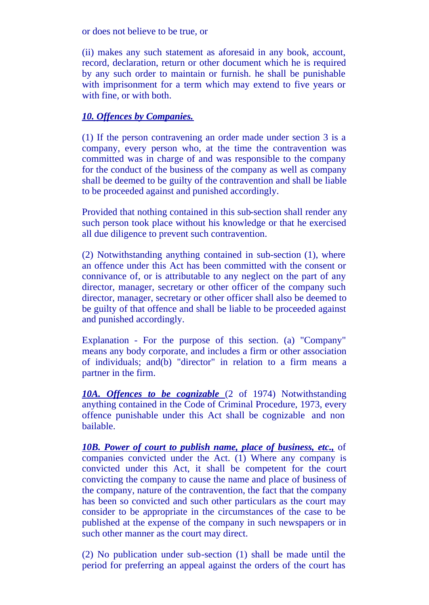or does not believe to be true, or

(ii) makes any such statement as aforesaid in any book, account, record, declaration, return or other document which he is required by any such order to maintain or furnish. he shall be punishable with imprisonment for a term which may extend to five years or with fine, or with both.

### *10. Offences by Companies.*

(1) If the person contravening an order made under section 3 is a company, every person who, at the time the contravention was committed was in charge of and was responsible to the company for the conduct of the business of the company as well as company shall be deemed to be guilty of the contravention and shall be liable to be proceeded against and punished accordingly.

Provided that nothing contained in this sub-section shall render any such person took place without his knowledge or that he exercised all due diligence to prevent such contravention.

(2) Notwithstanding anything contained in sub-section (1), where an offence under this Act has been committed with the consent or connivance of, or is attributable to any neglect on the part of any director, manager, secretary or other officer of the company such director, manager, secretary or other officer shall also be deemed to be guilty of that offence and shall be liable to be proceeded against and punished accordingly.

Explanation - For the purpose of this section. (a) "Company" means any body corporate, and includes a firm or other association of individuals; and(b) "director" in relation to a firm means a partner in the firm.

*10A. Offences to be cognizable* (2 of 1974) Notwithstanding anything contained in the Code of Criminal Procedure, 1973, every offence punishable under this Act shall be cognizable and non bailable.

*10B. Power of court to publish name, place of business, etc.,* of companies convicted under the Act. (1) Where any company is convicted under this Act, it shall be competent for the court convicting the company to cause the name and place of business of the company, nature of the contravention, the fact that the company has been so convicted and such other particulars as the court may consider to be appropriate in the circumstances of the case to be published at the expense of the company in such newspapers or in such other manner as the court may direct.

(2) No publication under sub-section (1) shall be made until the period for preferring an appeal against the orders of the court has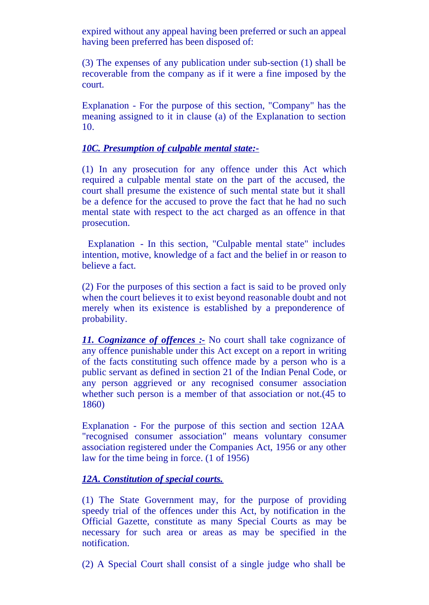expired without any appeal having been preferred or such an appeal having been preferred has been disposed of:

(3) The expenses of any publication under sub-section (1) shall be recoverable from the company as if it were a fine imposed by the court.

Explanation - For the purpose of this section, "Company" has the meaning assigned to it in clause (a) of the Explanation to section 10.

### *10C. Presumption of culpable mental state:-*

(1) In any prosecution for any offence under this Act which required a culpable mental state on the part of the accused, the court shall presume the existence of such mental state but it shall be a defence for the accused to prove the fact that he had no such mental state with respect to the act charged as an offence in that prosecution.

 Explanation - In this section, "Culpable mental state" includes intention, motive, knowledge of a fact and the belief in or reason to believe a fact.

(2) For the purposes of this section a fact is said to be proved only when the court believes it to exist beyond reasonable doubt and not merely when its existence is established by a preponderence of probability.

*11. Cognizance of offences :-* No court shall take cognizance of any offence punishable under this Act except on a report in writing of the facts constituting such offence made by a person who is a public servant as defined in section 21 of the Indian Penal Code, or any person aggrieved or any recognised consumer association whether such person is a member of that association or not.(45 to 1860)

Explanation - For the purpose of this section and section 12AA "recognised consumer association" means voluntary consumer association registered under the Companies Act, 1956 or any other law for the time being in force. (1 of 1956)

### *12A. Constitution of special courts.*

(1) The State Government may, for the purpose of providing speedy trial of the offences under this Act, by notification in the Official Gazette, constitute as many Special Courts as may be necessary for such area or areas as may be specified in the notification.

(2) A Special Court shall consist of a single judge who shall be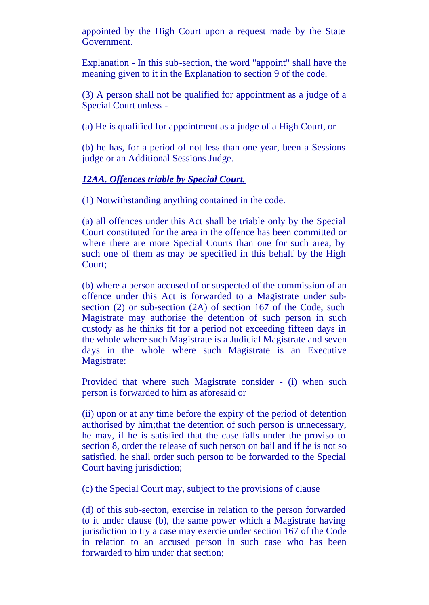appointed by the High Court upon a request made by the State Government.

Explanation - In this sub-section, the word "appoint" shall have the meaning given to it in the Explanation to section 9 of the code.

(3) A person shall not be qualified for appointment as a judge of a Special Court unless -

(a) He is qualified for appointment as a judge of a High Court, or

(b) he has, for a period of not less than one year, been a Sessions judge or an Additional Sessions Judge.

### *12AA. Offences triable by Special Court.*

(1) Notwithstanding anything contained in the code.

(a) all offences under this Act shall be triable only by the Special Court constituted for the area in the offence has been committed or where there are more Special Courts than one for such area, by such one of them as may be specified in this behalf by the High Court;

(b) where a person accused of or suspected of the commission of an offence under this Act is forwarded to a Magistrate under subsection (2) or sub-section (2A) of section 167 of the Code, such Magistrate may authorise the detention of such person in such custody as he thinks fit for a period not exceeding fifteen days in the whole where such Magistrate is a Judicial Magistrate and seven days in the whole where such Magistrate is an Executive Magistrate:

Provided that where such Magistrate consider - (i) when such person is forwarded to him as aforesaid or

(ii) upon or at any time before the expiry of the period of detention authorised by him;that the detention of such person is unnecessary, he may, if he is satisfied that the case falls under the proviso to section 8, order the release of such person on bail and if he is not so satisfied, he shall order such person to be forwarded to the Special Court having jurisdiction;

(c) the Special Court may, subject to the provisions of clause

(d) of this sub-secton, exercise in relation to the person forwarded to it under clause (b), the same power which a Magistrate having jurisdiction to try a case may exercie under section 167 of the Code in relation to an accused person in such case who has been forwarded to him under that section;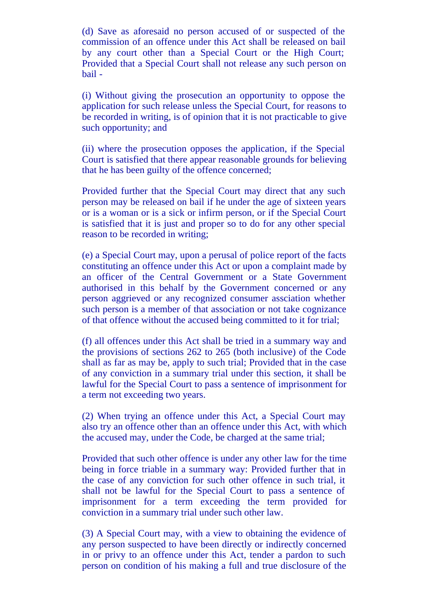(d) Save as aforesaid no person accused of or suspected of the commission of an offence under this Act shall be released on bail by any court other than a Special Court or the High Court; Provided that a Special Court shall not release any such person on bail -

(i) Without giving the prosecution an opportunity to oppose the application for such release unless the Special Court, for reasons to be recorded in writing, is of opinion that it is not practicable to give such opportunity; and

(ii) where the prosecution opposes the application, if the Special Court is satisfied that there appear reasonable grounds for believing that he has been guilty of the offence concerned;

Provided further that the Special Court may direct that any such person may be released on bail if he under the age of sixteen years or is a woman or is a sick or infirm person, or if the Special Court is satisfied that it is just and proper so to do for any other special reason to be recorded in writing;

(e) a Special Court may, upon a perusal of police report of the facts constituting an offence under this Act or upon a complaint made by an officer of the Central Government or a State Government authorised in this behalf by the Government concerned or any person aggrieved or any recognized consumer assciation whether such person is a member of that association or not take cognizance of that offence without the accused being committed to it for trial;

(f) all offences under this Act shall be tried in a summary way and the provisions of sections 262 to 265 (both inclusive) of the Code shall as far as may be, apply to such trial; Provided that in the case of any conviction in a summary trial under this section, it shall be lawful for the Special Court to pass a sentence of imprisonment for a term not exceeding two years.

(2) When trying an offence under this Act, a Special Court may also try an offence other than an offence under this Act, with which the accused may, under the Code, be charged at the same trial;

Provided that such other offence is under any other law for the time being in force triable in a summary way: Provided further that in the case of any conviction for such other offence in such trial, it shall not be lawful for the Special Court to pass a sentence of imprisonment for a term exceeding the term provided for conviction in a summary trial under such other law.

(3) A Special Court may, with a view to obtaining the evidence of any person suspected to have been directly or indirectly concerned in or privy to an offence under this Act, tender a pardon to such person on condition of his making a full and true disclosure of the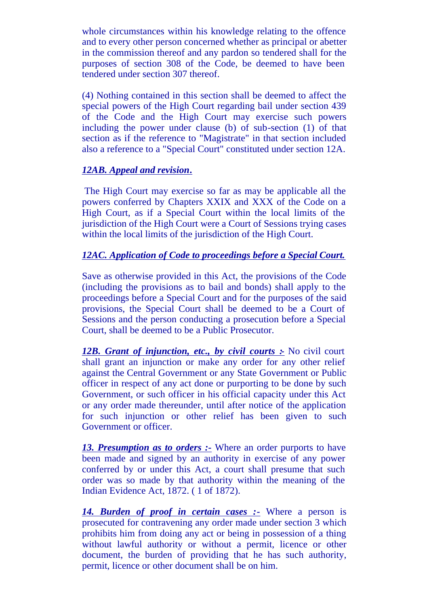whole circumstances within his knowledge relating to the offence and to every other person concerned whether as principal or abetter in the commission thereof and any pardon so tendered shall for the purposes of section 308 of the Code, be deemed to have been tendered under section 307 thereof.

(4) Nothing contained in this section shall be deemed to affect the special powers of the High Court regarding bail under section 439 of the Code and the High Court may exercise such powers including the power under clause (b) of sub-section (1) of that section as if the reference to "Magistrate" in that section included also a reference to a "Special Court" constituted under section 12A.

### *12AB. Appeal and revision.*

 The High Court may exercise so far as may be applicable all the powers conferred by Chapters XXIX and XXX of the Code on a High Court, as if a Special Court within the local limits of the jurisdiction of the High Court were a Court of Sessions trying cases within the local limits of the jurisdiction of the High Court.

### *12AC. Application of Code to proceedings before a Special Court.*

Save as otherwise provided in this Act, the provisions of the Code (including the provisions as to bail and bonds) shall apply to the proceedings before a Special Court and for the purposes of the said provisions, the Special Court shall be deemed to be a Court of Sessions and the person conducting a prosecution before a Special Court, shall be deemed to be a Public Prosecutor.

12B. Grant of *injunction, etc., by civil courts* :- No civil court shall grant an injunction or make any order for any other relief against the Central Government or any State Government or Public officer in respect of any act done or purporting to be done by such Government, or such officer in his official capacity under this Act or any order made thereunder, until after notice of the application for such injunction or other relief has been given to such Government or officer.

*13. Presumption as to orders :-* Where an order purports to have been made and signed by an authority in exercise of any power conferred by or under this Act, a court shall presume that such order was so made by that authority within the meaning of the Indian Evidence Act, 1872. ( 1 of 1872).

*14. Burden of proof in certain cases :-* Where a person is prosecuted for contravening any order made under section 3 which prohibits him from doing any act or being in possession of a thing without lawful authority or without a permit, licence or other document, the burden of providing that he has such authority, permit, licence or other document shall be on him.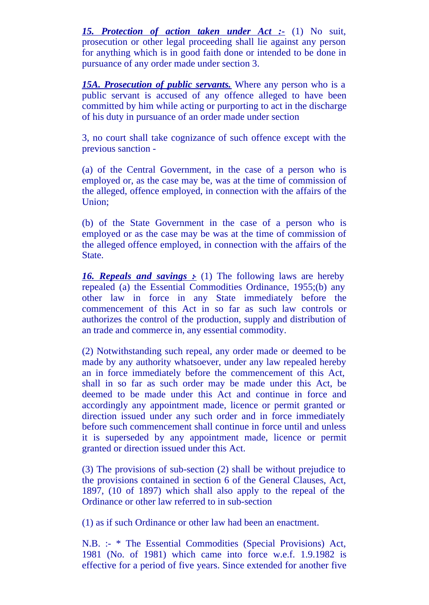*15. Protection of action taken under Act :-* (1) No suit, prosecution or other legal proceeding shall lie against any person for anything which is in good faith done or intended to be done in pursuance of any order made under section 3.

*15A. Prosecution of public servants.* Where any person who is a public servant is accused of any offence alleged to have been committed by him while acting or purporting to act in the discharge of his duty in pursuance of an order made under section

3, no court shall take cognizance of such offence except with the previous sanction -

(a) of the Central Government, in the case of a person who is employed or, as the case may be, was at the time of commission of the alleged, offence employed, in connection with the affairs of the Union;

(b) of the State Government in the case of a person who is employed or as the case may be was at the time of commission of the alleged offence employed, in connection with the affairs of the State.

**16. Repeals and savings :** (1) The following laws are hereby repealed (a) the Essential Commodities Ordinance, 1955;(b) any other law in force in any State immediately before the commencement of this Act in so far as such law controls or authorizes the control of the production, supply and distribution of an trade and commerce in, any essential commodity.

(2) Notwithstanding such repeal, any order made or deemed to be made by any authority whatsoever, under any law repealed hereby an in force immediately before the commencement of this Act, shall in so far as such order may be made under this Act, be deemed to be made under this Act and continue in force and accordingly any appointment made, licence or permit granted or direction issued under any such order and in force immediately before such commencement shall continue in force until and unless it is superseded by any appointment made, licence or permit granted or direction issued under this Act.

(3) The provisions of sub-section (2) shall be without prejudice to the provisions contained in section 6 of the General Clauses, Act, 1897, (10 of 1897) which shall also apply to the repeal of the Ordinance or other law referred to in sub-section

(1) as if such Ordinance or other law had been an enactment.

N.B. :- \* The Essential Commodities (Special Provisions) Act, 1981 (No. of 1981) which came into force w.e.f. 1.9.1982 is effective for a period of five years. Since extended for another five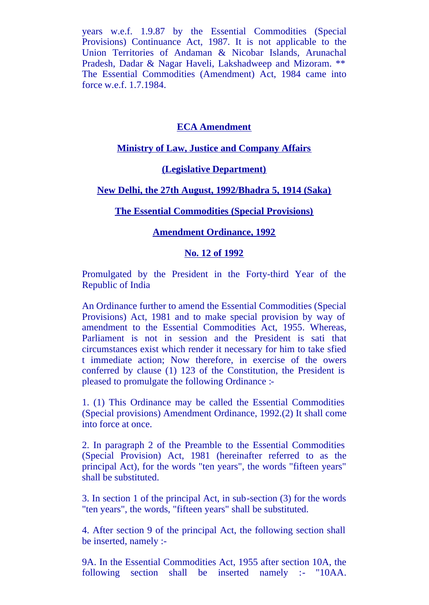years w.e.f. 1.9.87 by the Essential Commodities (Special Provisions) Continuance Act, 1987. It is not applicable to the Union Territories of Andaman & Nicobar Islands, Arunachal Pradesh, Dadar & Nagar Haveli, Lakshadweep and Mizoram. \*\* The Essential Commodities (Amendment) Act, 1984 came into force w.e.f. 1.7.1984.

#### **ECA Amendment**

#### **Ministry of Law, Justice and Company Affairs**

#### **(Legislative Department)**

#### **New Delhi, the 27th August, 1992/Bhadra 5, 1914 (Saka)**

#### **The Essential Commodities (Special Provisions)**

#### **Amendment Ordinance, 1992**

#### **No. 12 of 1992**

Promulgated by the President in the Forty-third Year of the Republic of India

An Ordinance further to amend the Essential Commodities (Special Provisions) Act, 1981 and to make special provision by way of amendment to the Essential Commodities Act, 1955. Whereas, Parliament is not in session and the President is sati that circumstances exist which render it necessary for him to take sfied t immediate action; Now therefore, in exercise of the owers conferred by clause (1) 123 of the Constitution, the President is pleased to promulgate the following Ordinance :-

1. (1) This Ordinance may be called the Essential Commodities (Special provisions) Amendment Ordinance, 1992.(2) It shall come into force at once.

2. In paragraph 2 of the Preamble to the Essential Commodities (Special Provision) Act, 1981 (hereinafter referred to as the principal Act), for the words "ten years", the words "fifteen years" shall be substituted.

3. In section 1 of the principal Act, in sub-section (3) for the words "ten years", the words, "fifteen years" shall be substituted.

4. After section 9 of the principal Act, the following section shall be inserted, namely :-

9A. In the Essential Commodities Act, 1955 after section 10A, the following section shall be inserted namely :- "10AA.